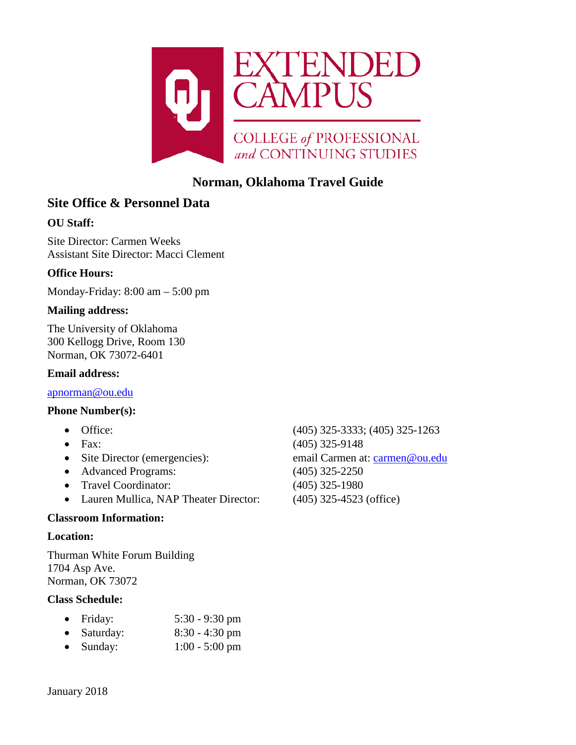

# **Norman, Oklahoma Travel Guide**

# **Site Office & Personnel Data**

## **OU Staff:**

Site Director: Carmen Weeks Assistant Site Director: Macci Clement

## **Office Hours:**

Monday-Friday: 8:00 am – 5:00 pm

#### **Mailing address:**

The University of Oklahoma 300 Kellogg Drive, Room 130 Norman, OK 73072-6401

#### **Email address:**

[apnorman@ou.edu](mailto:apnorman@ou.edu)

#### **Phone Number(s):**

- 
- 
- 
- Advanced Programs: (405) 325-2250
- Travel Coordinator: (405) 325-1980
- Lauren Mullica, NAP Theater Director: (405) 325-4523 (office)

#### **Classroom Information:**

#### **Location:**

Thurman White Forum Building 1704 Asp Ave. Norman, OK 73072

#### **Class Schedule:**

| Friday: | $5:30 - 9:30$ pm |
|---------|------------------|
|         |                  |

- Saturday: 8:30 4:30 pm
- Sunday: 1:00 5:00 pm

• Office: (405) 325-3333; (405) 325-1263 • Fax: (405) 325-9148 • Site Director (emergencies): email Carmen at: [carmen@ou.edu](mailto:carmen@ou.edu)